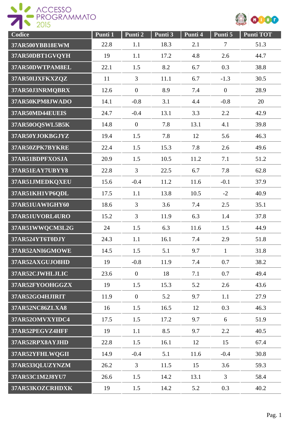



| Codice          | Punti 1 | Punti 2        | Punti 3 | Punti 4 | Punti 5          | <b>Punti TOT</b> |
|-----------------|---------|----------------|---------|---------|------------------|------------------|
| 37AR500YBB18EWM | 22.8    | 1.1            | 18.3    | 2.1     | $\tau$           | 51.3             |
| 37AR50DBT1GVQYH | 19      | 1.1            | 17.2    | 4.8     | 2.6              | 44.7             |
| 37AR50DWTPAM8EL | 22.1    | 1.5            | 8.2     | 6.7     | 0.3              | 38.8             |
| 37AR50IJXFKXZQZ | 11      | 3              | 11.1    | 6.7     | $-1.3$           | 30.5             |
| 37AR50J3NRMQBRX | 12.6    | $\mathbf{0}$   | 8.9     | 7.4     | $\boldsymbol{0}$ | 28.9             |
| 37AR50KPM8JWADO | 14.1    | $-0.8$         | 3.1     | 4.4     | $-0.8$           | 20               |
| 37AR50MD44EUEIS | 24.7    | $-0.4$         | 13.1    | 3.3     | 2.2              | 42.9             |
| 37AR50OQSWL5B5K | 14.8    | $\overline{0}$ | 7.8     | 13.1    | 4.1              | 39.8             |
| 37AR50YJOKBGJYZ | 19.4    | 1.5            | 7.8     | 12      | 5.6              | 46.3             |
| 37AR50ZPK7BYKRE | 22.4    | 1.5            | 15.3    | 7.8     | 2.6              | 49.6             |
| 37AR51BDPFXOSJA | 20.9    | 1.5            | 10.5    | 11.2    | 7.1              | 51.2             |
| 37AR51EAY7UBYY8 | 22.8    | $\overline{3}$ | 22.5    | 6.7     | 7.8              | 62.8             |
| 37AR51JMEDKQXEU | 15.6    | $-0.4$         | 11.2    | 11.6    | $-0.1$           | 37.9             |
| 37AR51KH1VP6QDL | 17.5    | 1.1            | 13.8    | 10.5    | $-2$             | 40.9             |
| 37AR51UAWIGHY60 | 18.6    | $\overline{3}$ | 3.6     | 7.4     | 2.5              | 35.1             |
| 37AR51UVORL4URO | 15.2    | 3              | 11.9    | 6.3     | 1.4              | 37.8             |
| 37AR51WWQCM3L2G | 24      | 1.5            | 6.3     | 11.6    | 1.5              | 44.9             |
| 37AR524YT6T0DJY | 24.3    | 1.1            | 16.1    | 7.4     | 2.9              | 51.8             |
| 37AR52ANI6GMOWE | 14.5    | 1.5            | 5.1     | 9.7     | $\mathbf{1}$     | 31.8             |
| 37AR52AXGUJO8HD | 19      | $-0.8$         | 11.9    | 7.4     | 0.7              | 38.2             |
| 37AR52CJWHLJLIC | 23.6    | $\overline{0}$ | 18      | 7.1     | 0.7              | 49.4             |
| 37AR52FYOOHGGZX | 19      | 1.5            | 15.3    | 5.2     | 2.6              | 43.6             |
| 37AR52GO4HJIRIT | 11.9    | $\overline{0}$ | 5.2     | 9.7     | 1.1              | 27.9             |
| 37AR52NC86ZLXA8 | 16      | 1.5            | 16.5    | 12      | 0.3              | 46.3             |
| 37AR52OMVXYIDC4 | 17.5    | 1.5            | 17.2    | 9.7     | 6                | 51.9             |
| 37AR52PEGVZ4HFF | 19      | 1.1            | 8.5     | 9.7     | 2.2              | 40.5             |
| 37AR52RPX8AYJHD | 22.8    | 1.5            | 16.1    | 12      | 15               | 67.4             |
| 37AR52YFHLWQGII | 14.9    | $-0.4$         | 5.1     | 11.6    | $-0.4$           | 30.8             |
| 37AR533QLUZYNZM | 26.2    | $\overline{3}$ | 11.5    | 15      | 3.6              | 59.3             |
| 37AR53C1M2J8YU7 | 26.6    | 1.5            | 14.2    | 13.1    | 3                | 58.4             |
| 37AR53KOZCRHDXK | 19      | 1.5            | 14.2    | 5.2     | 0.3              | 40.2             |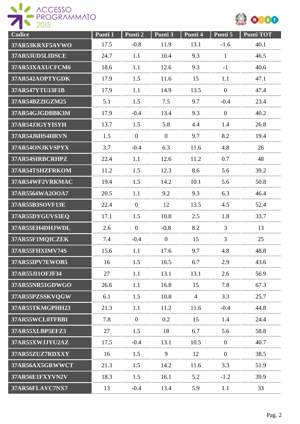



| Codice          | Punti 1 | Punti 2        | Punti 3        | Punti 4        | Punti 5        | <b>Punti TOT</b> |
|-----------------|---------|----------------|----------------|----------------|----------------|------------------|
| 37AR53KRXF5AVWO | 17.5    | $-0.8$         | 11.9           | 13.1           | $-1.6$         | 40.1             |
| 37AR53UD5LIDSCE | 24.7    | 1.1            | 10.4           | 9.3            | $\mathbf{1}$   | 46.5             |
| 37AR53XAXUCFCM6 | 18.6    | 1.1            | 12.6           | 9.3            | $-1$           | 40.6             |
| 37AR542AOPTYGDK | 17.9    | 1.5            | 11.6           | 15             | 1.1            | 47.1             |
| 37AR547YTU13F1B | 17.9    | 1.1            | 14.9           | 13.5           | $\overline{0}$ | 47.4             |
| 37AR54BZ2IGZM25 | 5.1     | 1.5            | 7.5            | 9.7            | $-0.4$         | 23.4             |
| 37AR54GJGDBBK3M | 17.9    | $-0.4$         | 13.4           | 9.3            | $\mathbf{0}$   | 40.2             |
| 37AR54J3GYYISYH | 13.7    | 1.5            | 5.8            | 4.4            | 1.4            | 26.8             |
| 37AR54J6HS4HRVN | 1.5     | $\overline{0}$ | $\overline{0}$ | 9.7            | 8.2            | 19.4             |
| 37AR54ONJKVSPYX | 3.7     | $-0.4$         | 6.3            | 11.6           | 4.8            | 26               |
| 37AR54SIRBCRHPZ | 22.4    | 1.1            | 12.6           | 11.2           | 0.7            | 48               |
| 37AR54TSHZFRKOM | 11.2    | 1.5            | 12.3           | 8.6            | 5.6            | 39.2             |
| 37AR54WF2VRKMAC | 19.4    | 1.5            | 14.2           | 10.1           | 5.6            | 50.8             |
| 37AR5564WA2OOA7 | 20.5    | 1.1            | 9.2            | 9.3            | 6.3            | 46.4             |
| 37AR55B3SOVF13E | 22.4    | $\mathbf{0}$   | 12             | 13.5           | 4.5            | 52.4             |
| 37AR55DYGUVS3EQ | 17.1    | 1.5            | 10.8           | 2.5            | 1.8            | 33.7             |
| 37AR55EH4DHJWDL | 2.6     | $\overline{0}$ | $-0.8$         | 8.2            | 3              | 13               |
| 37AR55F1MQICZEK | 7.4     | $-0.4$         | $\overline{0}$ | 15             | 3              | 25               |
| 37AR55FHXIMV74S | 15.6    | 1.1            | 17.6           | 9.7            | 4.8            | 48.8             |
| 37AR55IPV7EWOB5 | 16      | 1.5            | 16.5           | 6.7            | 2.9            | 43.6             |
| 37AR55JI1OFJF34 | 27      | 1.1            | 13.1           | 13.1           | 2.6            | 56.9             |
| 37AR55NR51GDWGO | 26.6    | 1.1            | 16.8           | 15             | 7.8            | 67.3             |
| 37AR55PZSSKVQGW | 6.1     | 1.5            | 10.8           | $\overline{4}$ | 3.3            | 25.7             |
| 37AR55TKMGPHH23 | 21.3    | 1.1            | 11.2           | 11.6           | $-0.4$         | 44.8             |
| 37AR55WCL0TFBBI | 7.8     | $\overline{0}$ | 0.2            | 15             | 1.4            | 24.4             |
| 37AR55XLBP5EFZ3 | 27      | 1.5            | 18             | 6.7            | 5.6            | 58.8             |
| 37AR55XWJJYU2AZ | 17.5    | $-0.4$         | 13.1           | 10.5           | $\overline{0}$ | 40.7             |
| 37AR55ZUZ7RDXXY | 16      | 1.5            | 9              | 12             | $\overline{0}$ | 38.5             |
| 37AR56AX5GRWWCT | 21.3    | 1.5            | 14.2           | 11.6           | 3.3            | 51.9             |
| 37AR56E1FXYVN2V | 18.3    | 1.5            | 16.1           | 5.2            | $-1.2$         | 39.9             |
| 37AR56FLAVC7NX7 | 13      | $-0.4$         | 13.4           | 5.9            | 1.1            | 33               |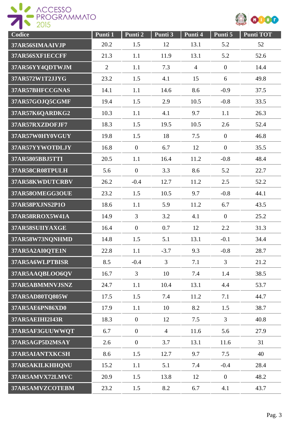



| Codice                 | Punti 1        | Punti 2        | Punti 3        | Punti 4        | Punti 5          | <b>Punti TOT</b> |
|------------------------|----------------|----------------|----------------|----------------|------------------|------------------|
| 37AR56SIMAAIVJP        | 20.2           | 1.5            | 12             | 13.1           | 5.2              | 52               |
| 37AR56SXF1ECCFF        | 21.3           | 1.1            | 11.9           | 13.1           | 5.2              | 52.6             |
| 37AR56YY4QDTWJM        | $\overline{2}$ | 1.1            | 7.3            | $\overline{4}$ | $\boldsymbol{0}$ | 14.4             |
| 37AR572W1T2JJYG        | 23.2           | 1.5            | 4.1            | 15             | 6                | 49.8             |
| 37AR57BHFCCGNAS        | 14.1           | 1.1            | 14.6           | 8.6            | $-0.9$           | 37.5             |
| 37AR57GOJQ5CGMF        | 19.4           | 1.5            | 2.9            | 10.5           | $-0.8$           | 33.5             |
| 37AR57K6QARDKG2        | 10.3           | 1.1            | 4.1            | 9.7            | 1.1              | 26.3             |
| 37AR57RXZDOFJF7        | 18.3           | 1.5            | 19.5           | 10.5           | 2.6              | 52.4             |
| 37AR57W0HY0VGUY        | 19.8           | 1.5            | 18             | 7.5            | $\overline{0}$   | 46.8             |
| 37AR57YYWOTDLJY        | 16.8           | $\mathbf{0}$   | 6.7            | 12             | $\overline{0}$   | 35.5             |
| 37AR5805BBJ5TTI        | 20.5           | 1.1            | 16.4           | 11.2           | $-0.8$           | 48.4             |
| 37AR58CR08TPULH        | 5.6            | $\overline{0}$ | 3.3            | 8.6            | 5.2              | 22.7             |
| 37AR58KWDUTCRBV        | 26.2           | $-0.4$         | 12.7           | 11.2           | 2.5              | 52.2             |
| 37AR58OMEGG3OUE        | 23.2           | 1.5            | 10.5           | 9.7            | $-0.8$           | 44.1             |
| 37AR58PXJNS2P1O        | 18.6           | 1.1            | 5.9            | 11.2           | 6.7              | 43.5             |
| 37AR58RROX5W41A        | 14.9           | 3              | 3.2            | 4.1            | $\overline{0}$   | 25.2             |
| 37AR58SUIIYAXGE        | 16.4           | $\mathbf{0}$   | 0.7            | 12             | 2.2              | 31.3             |
| 37AR58W73NQNHMD        | 14.8           | 1.5            | 5.1            | 13.1           | $-0.1$           | 34.4             |
| 37AR5A2AI0QTE1N        | 22.8           | 1.1            | $-3.7$         | 9.3            | $-0.8$           | 28.7             |
| 37AR5A6WLPTBISR        | 8.5            | $-0.4$         | $\overline{3}$ | 7.1            | $\overline{3}$   | 21.2             |
| 37AR5AAQBLOO6QV        | 16.7           | $\overline{3}$ | 10             | 7.4            | 1.4              | 38.5             |
| 37AR5ABMMNVJSNZ        | 24.7           | 1.1            | 10.4           | 13.1           | 4.4              | 53.7             |
| 37AR5AD80TQ805W        | 17.5           | 1.5            | 7.4            | 11.2           | 7.1              | 44.7             |
| 37AR5AE6PN86XD0        | 17.9           | 1.1            | 10             | 8.2            | 1.5              | 38.7             |
| <b>37AR5AEIHI2I43R</b> | 18.3           | $\overline{0}$ | 12             | 7.5            | $\overline{3}$   | 40.8             |
| 37AR5AF3GUUWWQT        | 6.7            | $\overline{0}$ | $\overline{4}$ | 11.6           | 5.6              | 27.9             |
| 37AR5AGP5D2MSAY        | 2.6            | $\overline{0}$ | 3.7            | 13.1           | 11.6             | 31               |
| 37AR5AIANTXKCSH        | 8.6            | 1.5            | 12.7           | 9.7            | 7.5              | 40               |
| 37AR5AKILKHHQNU        | 15.2           | 1.1            | 5.1            | 7.4            | $-0.4$           | 28.4             |
| 37AR5AMVX72LMVC        | 20.9           | 1.5            | 13.8           | 12             | $\overline{0}$   | 48.2             |
| 37AR5AMVZCOTEBM        | 23.2           | 1.5            | 8.2            | 6.7            | 4.1              | 43.7             |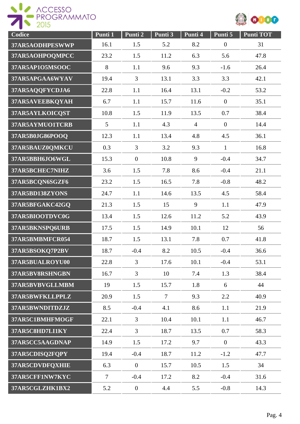

| Codice          | Punti 1        | Punti 2          | Punti 3        | Punti 4        | Punti 5          | <b>Punti TOT</b> |
|-----------------|----------------|------------------|----------------|----------------|------------------|------------------|
| 37AR5AODHPESWWP | 16.1           | 1.5              | 5.2            | 8.2            | $\boldsymbol{0}$ | 31               |
| 37AR5AOHPOQMPCC | 23.2           | 1.5              | 11.2           | 6.3            | 5.6              | 47.8             |
| 37AR5AP1O5MSOOC | 8              | 1.1              | 9.6            | 9.3            | $-1.6$           | 26.4             |
| 37AR5APGAA6WYAV | 19.4           | 3                | 13.1           | 3.3            | 3.3              | 42.1             |
| 37AR5AQQFYCDJA6 | 22.8           | 1.1              | 16.4           | 13.1           | $-0.2$           | 53.2             |
| 37AR5AVEEBKQYAH | 6.7            | 1.1              | 15.7           | 11.6           | $\overline{0}$   | 35.1             |
| 37AR5AYLKOICQST | 10.8           | 1.5              | 11.9           | 13.5           | 0.7              | 38.4             |
| 37AR5AYMUO1TCRB | 5              | 1.1              | 4.3            | $\overline{4}$ | $\overline{0}$   | 14.4             |
| 37AR5B0JG86POOQ | 12.3           | 1.1              | 13.4           | 4.8            | 4.5              | 36.1             |
| 37AR5BAUZ0QMKCU | 0.3            | $\overline{3}$   | 3.2            | 9.3            | $\mathbf{1}$     | 16.8             |
| 37AR5BBH6JO6WGL | 15.3           | $\overline{0}$   | 10.8           | 9              | $-0.4$           | 34.7             |
| 37AR5BCHEC7NIHZ | 3.6            | 1.5              | 7.8            | 8.6            | $-0.4$           | 21.1             |
| 37AR5BCQN6SGZF6 | 23.2           | 1.5              | 16.5           | 7.8            | $-0.8$           | 48.2             |
| 37AR5BD138ZYONS | 24.7           | 1.1              | 14.6           | 13.5           | 4.5              | 58.4             |
| 37AR5BFGAKC42GQ | 21.3           | 1.5              | 15             | 9              | 1.1              | 47.9             |
| 37AR5BIOOTDVC0G | 13.4           | 1.5              | 12.6           | 11.2           | 5.2              | 43.9             |
| 37AR5BKNSPQ6URB | 17.5           | 1.5              | 14.9           | 10.1           | 12               | 56               |
| 37AR5BMBMFCR054 | 18.7           | 1.5              | 13.1           | 7.8            | 0.7              | 41.8             |
| 37AR5BSOKQ7P2BV | 18.7           | $-0.4$           | 8.2            | 10.5           | $-0.4$           | 36.6             |
| 37AR5BUALROYU00 | 22.8           | $\overline{3}$   | 17.6           | 10.1           | $-0.4$           | 53.1             |
| 37AR5BV8RSHNGBN | 16.7           | 3                | 10             | 7.4            | 1.3              | 38.4             |
| 37AR5BVBVGLLMBM | 19             | 1.5              | 15.7           | 1.8            | 6                | 44               |
| 37AR5BWFKLLPPLZ | 20.9           | 1.5              | $\overline{7}$ | 9.3            | 2.2              | 40.9             |
| 37AR5BWNDITDZJZ | 8.5            | $-0.4$           | 4.1            | 8.6            | 1.1              | 21.9             |
| 37AR5C1BMHFMOGF | 22.1           | $\mathfrak{Z}$   | 10.4           | 10.1           | 1.1              | 46.7             |
| 37AR5C8HD7LI1KY | 22.4           | $\overline{3}$   | 18.7           | 13.5           | 0.7              | 58.3             |
| 37AR5CC5AAGDNAP | 14.9           | 1.5              | 17.2           | 9.7            | $\overline{0}$   | 43.3             |
| 37AR5CDISQ2FQPY | 19.4           | $-0.4$           | 18.7           | 11.2           | $-1.2$           | 47.7             |
| 37AR5CDVDFQXHIE | 6.3            | $\overline{0}$   | 15.7           | 10.5           | 1.5              | 34               |
| 37AR5CFF1NW7KYC | $\overline{7}$ | $-0.4$           | 17.2           | 8.2            | $-0.4$           | 31.6             |
| 37AR5CGLZHK1BX2 | 5.2            | $\boldsymbol{0}$ | 4.4            | 5.5            | $-0.8$           | 14.3             |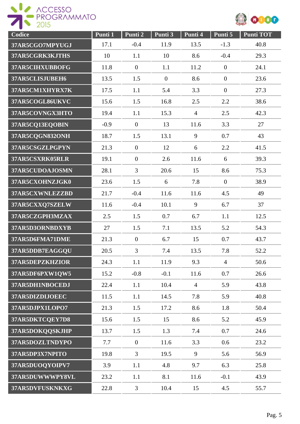



| Codice          | Punti 1 | Punti 2        | Punti 3        | Punti 4        | Punti 5        | <b>Punti TOT</b> |
|-----------------|---------|----------------|----------------|----------------|----------------|------------------|
| 37AR5CGO7MPYUGJ | 17.1    | $-0.4$         | 11.9           | 13.5           | $-1.3$         | 40.8             |
| 37AR5CGRK3KJTHS | 10      | 1.1            | 10             | 8.6            | $-0.4$         | 29.3             |
| 37AR5CIHXUBBOFG | 11.8    | $\overline{0}$ | 1.1            | 11.2           | $\overline{0}$ | 24.1             |
| 37AR5CLISJUBEH6 | 13.5    | 1.5            | $\overline{0}$ | 8.6            | $\overline{0}$ | 23.6             |
| 37AR5CM1XHYRX7K | 17.5    | 1.1            | 5.4            | 3.3            | $\overline{0}$ | 27.3             |
| 37AR5COGL86UKVC | 15.6    | 1.5            | 16.8           | 2.5            | 2.2            | 38.6             |
| 37AR5COVNGX3HTO | 19.4    | 1.1            | 15.3           | $\overline{4}$ | 2.5            | 42.3             |
| 37AR5CQ13EQOBIN | $-0.9$  | $\theta$       | 13             | 11.6           | 3.3            | 27               |
| 37AR5CQGN832ONH | 18.7    | 1.5            | 13.1           | 9              | 0.7            | 43               |
| 37AR5CSGZLPGPYN | 21.3    | $\overline{0}$ | 12             | 6              | 2.2            | 41.5             |
| 37AR5CSXRK05RLR | 19.1    | $\overline{0}$ | 2.6            | 11.6           | 6              | 39.3             |
| 37AR5CUDOAJOSMN | 28.1    | $\overline{3}$ | 20.6           | 15             | 8.6            | 75.3             |
| 37AR5CXOHNZJGK0 | 23.6    | 1.5            | 6              | 7.8            | $\overline{0}$ | 38.9             |
| 37AR5CXWNLEZZBD | 21.7    | $-0.4$         | 11.6           | 11.6           | 4.5            | 49               |
| 37AR5CXXQ7SZELW | 11.6    | $-0.4$         | 10.1           | 9              | 6.7            | 37               |
| 37AR5CZGPH3MZAX | 2.5     | 1.5            | 0.7            | 6.7            | 1.1            | 12.5             |
| 37AR5D3ORNBDXYB | 27      | 1.5            | 7.1            | 13.5           | 5.2            | 54.3             |
| 37AR5D6FMA71DME | 21.3    | $\overline{0}$ | 6.7            | 15             | 0.7            | 43.7             |
| 37AR5DDB7EAGGQU | 20.5    | 3              | 7.4            | 13.5           | 7.8            | 52.2             |
| 37AR5DEPZKHZIOR | 24.3    | 1.1            | 11.9           | 9.3            | $\overline{4}$ | 50.6             |
| 37AR5DF6PXW1QW5 | 15.2    | $-0.8$         | $-0.1$         | 11.6           | 0.7            | 26.6             |
| 37AR5DH1NBOCEDJ | 22.4    | 1.1            | 10.4           | $\overline{4}$ | 5.9            | 43.8             |
| 37AR5DIZDIJOEEC | 11.5    | 1.1            | 14.5           | 7.8            | 5.9            | 40.8             |
| 37AR5DJPX1LOPO7 | 21.3    | 1.5            | 17.2           | 8.6            | 1.8            | 50.4             |
| 37AR5DKTCQEY7D8 | 15.6    | 1.5            | 15             | 8.6            | 5.2            | 45.9             |
| 37AR5DOKQQSKJHP | 13.7    | 1.5            | 1.3            | 7.4            | 0.7            | 24.6             |
| 37AR5DOZLTNDYPO | 7.7     | $\overline{0}$ | 11.6           | 3.3            | 0.6            | 23.2             |
| 37AR5DP3X7NPITO | 19.8    | $\overline{3}$ | 19.5           | 9              | 5.6            | 56.9             |
| 37AR5DUOQYOIPV7 | 3.9     | 1.1            | 4.8            | 9.7            | 6.3            | 25.8             |
| 37AR5DUWWWPY8VL | 23.2    | 1.1            | 8.1            | 11.6           | $-0.1$         | 43.9             |
| 37AR5DVFUSKNKXG | 22.8    | 3              | 10.4           | 15             | 4.5            | 55.7             |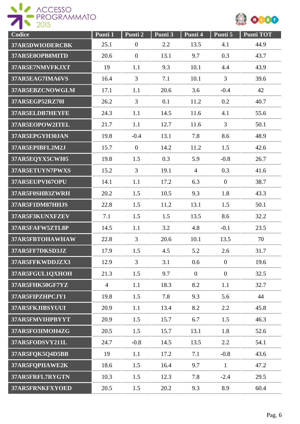



| Codice          | Punti 1        | Punti 2        | Punti 3 | Punti 4        | Punti 5        | <b>Punti TOT</b> |
|-----------------|----------------|----------------|---------|----------------|----------------|------------------|
| 37AR5DWIODERCBK | 25.1           | $\overline{0}$ | 2.2     | 13.5           | 4.1            | 44.9             |
| 37AR5E0OPB8MITD | 20.6           | $\overline{0}$ | 13.1    | 9.7            | 0.3            | 43.7             |
| 37AR5E7NMVFKJXT | 19             | 1.1            | 9.3     | 10.1           | 4.4            | 43.9             |
| 37AR5EAG7IMA6VS | 16.4           | $\overline{3}$ | 7.1     | 10.1           | $\overline{3}$ | 39.6             |
| 37AR5EBZCNOWGLM | 17.1           | 1.1            | 20.6    | 3.6            | $-0.4$         | 42               |
| 37AR5EGP52RZ70I | 26.2           | 3              | 0.1     | 11.2           | 0.2            | 40.7             |
| 37AR5ELDB7HEYFE | 24.3           | 1.1            | 14.5    | 11.6           | 4.1            | 55.6             |
| 37AR5EOPOW2ITEL | 21.7           | 1.1            | 12.7    | 11.6           | $\overline{3}$ | 50.1             |
| 37AR5EPGYH30JAN | 19.8           | $-0.4$         | 13.1    | 7.8            | 8.6            | 48.9             |
| 37AR5EPIBFL2M2J | 15.7           | $\overline{0}$ | 14.2    | 11.2           | 1.5            | 42.6             |
| 37AR5EQYX5CWI05 | 19.8           | 1.5            | 0.3     | 5.9            | $-0.8$         | 26.7             |
| 37AR5ETUYN7PWXS | 15.2           | $\overline{3}$ | 19.1    | $\overline{4}$ | 0.3            | 41.6             |
| 37AR5EUPVI67OPU | 14.1           | 1.1            | 17.2    | 6.3            | $\mathbf{0}$   | 38.7             |
| 37AR5F0SHB3ZWRH | 20.2           | 1.5            | 10.5    | 9.3            | 1.8            | 43.3             |
| 37AR5F1DM87HHJS | 22.8           | 1.5            | 11.2    | 13.1           | 1.5            | 50.1             |
| 37AR5F3KUNXFZEV | 7.1            | 1.5            | 1.5     | 13.5           | 8.6            | 32.2             |
| 37AR5FAFW5ZTL8P | 14.5           | 1.1            | 3.2     | 4.8            | $-0.1$         | 23.5             |
| 37AR5FBTOHAWHAW | 22.8           | $\overline{3}$ | 20.6    | 10.1           | 13.5           | 70               |
| 37AR5FF7DKSD3JZ | 17.9           | 1.5            | 4.5     | 5.2            | 2.6            | 31.7             |
| 37AR5FFKWDDJZX3 | 12.9           | $\overline{3}$ | 3.1     | 0.6            | $\overline{0}$ | 19.6             |
| 37AR5FGUL1QXHOH | 21.3           | 1.5            | 9.7     | $\overline{0}$ | $\overline{0}$ | 32.5             |
| 37AR5FHK50GF7YZ | $\overline{4}$ | 1.1            | 18.3    | 8.2            | 1.1            | 32.7             |
| 37AR5FIPZHPCJY1 | 19.8           | 1.5            | 7.8     | 9.3            | 5.6            | 44               |
| 37AR5FKJIBSYUUI | 20.9           | 1.1            | 13.4    | 8.2            | 2.2            | 45.8             |
| 37AR5FMVIHPBYYT | 20.9           | 1.5            | 15.7    | 6.7            | 1.5            | 46.3             |
| 37AR5FO3IMOH4ZG | 20.5           | 1.5            | 15.7    | 13.1           | 1.8            | 52.6             |
| 37AR5FODSVY211L | 24.7           | $-0.8$         | 14.5    | 13.5           | 2.2            | 54.1             |
| 37AR5FQK5Q4D5BB | 19             | 1.1            | 17.2    | 7.1            | $-0.8$         | 43.6             |
| 37AR5FQPIIAWE2K | 18.6           | 1.5            | 16.4    | 9.7            | $\mathbf{1}$   | 47.2             |
| 37AR5FRFL7RYGTN | 10.3           | 1.5            | 12.3    | 7.8            | $-2.4$         | 29.5             |
| 37AR5FRNKFXYOED | 20.5           | 1.5            | 20.2    | 9.3            | 8.9            | 60.4             |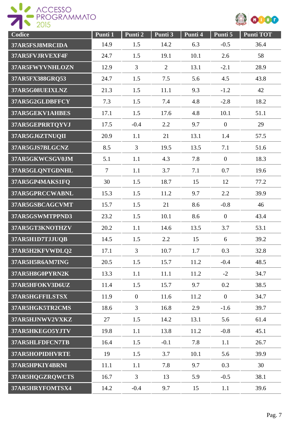



| Codice          | Punti 1        | Punti 2        | Punti 3        | Punti 4 | Punti 5        | <b>Punti TOT</b> |
|-----------------|----------------|----------------|----------------|---------|----------------|------------------|
| 37AR5FSJ8MRCIDA | 14.9           | 1.5            | 14.2           | 6.3     | $-0.5$         | 36.4             |
| 37AR5FVJRVEXF4F | 24.7           | 1.5            | 19.1           | 10.1    | 2.6            | 58               |
| 37AR5FWYVNHLOZN | 12.9           | $\overline{3}$ | $\overline{2}$ | 13.1    | $-2.1$         | 28.9             |
| 37AR5FX388GRQ53 | 24.7           | 1.5            | 7.5            | 5.6     | 4.5            | 43.8             |
| 37AR5G08UEIXLNZ | 21.3           | 1.5            | 11.1           | 9.3     | $-1.2$         | 42               |
| 37AR5G2GLDBFFCY | 7.3            | 1.5            | 7.4            | 4.8     | $-2.8$         | 18.2             |
| 37AR5GEKV1AHBES | 17.1           | 1.5            | 17.6           | 4.8     | 10.1           | 51.1             |
| 37AR5GEPRRTQYVJ | 17.5           | $-0.4$         | 2.2            | 9.7     | $\mathbf{0}$   | 29               |
| 37AR5GJ6ZTNUQII | 20.9           | 1.1            | 21             | 13.1    | 1.4            | 57.5             |
| 37AR5GJS7BLGCNZ | 8.5            | 3              | 19.5           | 13.5    | 7.1            | 51.6             |
| 37AR5GKWCSGV0JM | 5.1            | 1.1            | 4.3            | 7.8     | $\overline{0}$ | 18.3             |
| 37AR5GLQNTGDNHL | $\overline{7}$ | 1.1            | 3.7            | 7.1     | 0.7            | 19.6             |
| 37AR5GP4MAKS1FQ | 30             | 1.5            | 18.7           | 15      | 12             | 77.2             |
| 37AR5GPRCCWABNL | 15.3           | 1.5            | 11.2           | 9.7     | 2.2            | 39.9             |
| 37AR5GSBCAGCVMT | 15.7           | 1.5            | 21             | 8.6     | $-0.8$         | 46               |
| 37AR5GSWMTPPND3 | 23.2           | 1.5            | 10.1           | 8.6     | $\overline{0}$ | 43.4             |
| 37AR5GT3KNOTHZV | 20.2           | 1.1            | 14.6           | 13.5    | 3.7            | 53.1             |
| 37AR5H1D7TJJUQB | 14.5           | 1.5            | 2.2            | 15      | 6              | 39.2             |
| 37AR5H2KFVWDLQ2 | 17.1           | $\overline{3}$ | 10.7           | 1.7     | 0.3            | 32.8             |
| 37AR5H5R6AM7ING | 20.5           | 1.5            | 15.7           | 11.2    | $-0.4$         | 48.5             |
| 37AR5H8G0PYRN2K | 13.3           | 1.1            | 11.1           | 11.2    | $-2$           | 34.7             |
| 37AR5HFOKV3D6UZ | 11.4           | 1.5            | 15.7           | 9.7     | 0.2            | 38.5             |
| 37AR5HGFFILSTSX | 11.9           | $\overline{0}$ | 11.6           | 11.2    | $\mathbf{0}$   | 34.7             |
| 37AR5HGK5TR2CMS | 18.6           | $\mathfrak{Z}$ | 16.8           | 2.9     | $-1.6$         | 39.7             |
| 37AR5HJNWV2VXKZ | 27             | 1.5            | 14.2           | 13.1    | 5.6            | 61.4             |
| 37AR5HKEGO5YJTV | 19.8           | 1.1            | 13.8           | 11.2    | $-0.8$         | 45.1             |
| 37AR5HLFDFCN7TB | 16.4           | 1.5            | $-0.1$         | 7.8     | 1.1            | 26.7             |
| 37AR5HOPIDHVRTE | 19             | 1.5            | 3.7            | 10.1    | 5.6            | 39.9             |
| 37AR5HPKIY4BRNI | 11.1           | 1.1            | 7.8            | 9.7     | 0.3            | 30               |
| 37AR5HQGZRQWCTS | 16.7           | 3              | 13             | 5.9     | $-0.5$         | 38.1             |
| 37AR5HRYFOMTSX4 | 14.2           | $-0.4$         | 9.7            | 15      | 1.1            | 39.6             |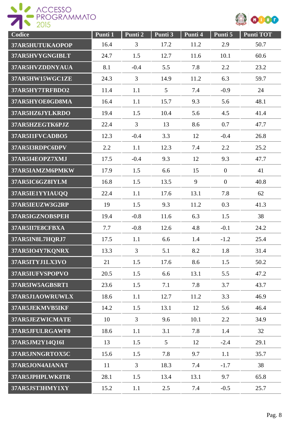

| Codice          | Punti 1 | Punti 2        | Punti 3 | Punti 4 | Punti 5        | <b>Punti TOT</b> |
|-----------------|---------|----------------|---------|---------|----------------|------------------|
| 37AR5HUTUKAOPOP | 16.4    | 3              | 17.2    | 11.2    | 2.9            | 50.7             |
| 37AR5HVYGNGIBLT | 24.7    | 1.5            | 12.7    | 11.6    | 10.1           | 60.6             |
| 37AR5HVZDDNYAUA | 8.1     | $-0.4$         | 5.5     | 7.8     | 2.2            | 23.2             |
| 37AR5HW15WGC1ZE | 24.3    | $\overline{3}$ | 14.9    | 11.2    | 6.3            | 59.7             |
| 37AR5HY7TRFBDO2 | 11.4    | 1.1            | 5       | 7.4     | $-0.9$         | 24               |
| 37AR5HYOE0GD8MA | 16.4    | 1.1            | 15.7    | 9.3     | 5.6            | 48.1             |
| 37AR5HZ6JYLKRDO | 19.4    | 1.5            | 10.4    | 5.6     | 4.5            | 41.4             |
| 37AR5HZEGTK6PJZ | 22.4    | $\overline{3}$ | 13      | 8.6     | 0.7            | 47.7             |
| 37AR5I1FVCADBO5 | 12.3    | $-0.4$         | 3.3     | 12      | $-0.4$         | 26.8             |
| 37AR5I3RDPC6DPV | 2.2     | 1.1            | 12.3    | 7.4     | 2.2            | 25.2             |
| 37AR5I4EOPZ7XMJ | 17.5    | $-0.4$         | 9.3     | 12      | 9.3            | 47.7             |
| 37AR5IAMZM6PMKW | 17.9    | 1.5            | 6.6     | 15      | $\overline{0}$ | 41               |
| 37AR5IC6GZ8IYLM | 16.8    | 1.5            | 13.5    | 9       | $\overline{0}$ | 40.8             |
| 37AR5IE1YYIAUQQ | 22.4    | 1.1            | 17.6    | 13.1    | 7.8            | 62               |
| 37AR5IEUZW3G2RP | 19      | 1.5            | 9.3     | 11.2    | 0.3            | 41.3             |
| 37AR5IGZNOBSPEH | 19.4    | $-0.8$         | 11.6    | 6.3     | 1.5            | 38               |
| 37AR5II7E8CFBXA | 7.7     | $-0.8$         | 12.6    | 4.8     | $-0.1$         | 24.2             |
| 37AR5IN8L7HQRJ7 | 17.5    | 1.1            | 6.6     | 1.4     | $-1.2$         | 25.4             |
| 37AR5IO4Y7KQNRX | 13.3    | $\overline{3}$ | 5.1     | 8.2     | 1.8            | 31.4             |
| 37AR5ITYJ1LX3VO | 21      | 1.5            | 17.6    | 8.6     | 1.5            | 50.2             |
| 37AR5IUFVSPOPVO | 20.5    | 1.5            | 6.6     | 13.1    | 5.5            | 47.2             |
| 37AR5IW5AGBSRT1 | 23.6    | 1.5            | 7.1     | 7.8     | 3.7            | 43.7             |
| 37AR5J1AOWRUWLX | 18.6    | 1.1            | 12.7    | 11.2    | 3.3            | 46.9             |
| 37AR5JEKMVB5IKF | 14.2    | 1.5            | 13.1    | 12      | 5.6            | 46.4             |
| 37AR5JEZWICMATE | 10      | 3              | 9.6     | 10.1    | 2.2            | 34.9             |
| 37AR5JFULRGAWF0 | 18.6    | 1.1            | 3.1     | 7.8     | 1.4            | 32               |
| 37AR5JM2Y14Q16I | 13      | 1.5            | 5       | 12      | $-2.4$         | 29.1             |
| 37AR5JNNGRTOX5C | 15.6    | 1.5            | 7.8     | 9.7     | 1.1            | 35.7             |
| 37AR5JON4AIANAT | 11      | $\mathfrak{Z}$ | 18.3    | 7.4     | $-1.7$         | 38               |
| 37AR5JPHPLWK8TR | 28.1    | 1.5            | 13.4    | 13.1    | 9.7            | 65.8             |
| 37AR5JST3HMY1XY | 15.2    | 1.1            | 2.5     | 7.4     | $-0.5$         | 25.7             |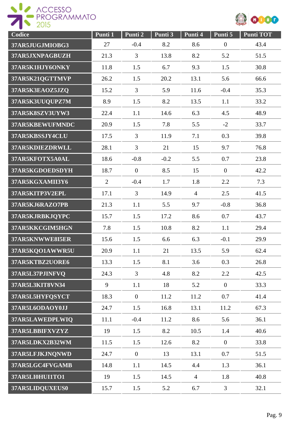



| Codice          | Punti 1        | Punti 2        | Punti 3 | Punti 4        | Punti 5          | <b>Punti TOT</b> |
|-----------------|----------------|----------------|---------|----------------|------------------|------------------|
| 37AR5JUGJMIOBG3 | 27             | $-0.4$         | 8.2     | 8.6            | $\boldsymbol{0}$ | 43.4             |
| 37AR5JXNPAGBUZH | 21.3           | 3              | 13.8    | 8.2            | 5.2              | 51.5             |
| 37AR5K1HJY6ONKY | 11.8           | 1.5            | 6.7     | 9.3            | 1.5              | 30.8             |
| 37AR5K21QGTTMVP | 26.2           | 1.5            | 20.2    | 13.1           | 5.6              | 66.6             |
| 37AR5K3EAOZ5JZQ | 15.2           | $\overline{3}$ | 5.9     | 11.6           | $-0.4$           | 35.3             |
| 37AR5K3UUQUPZ7M | 8.9            | 1.5            | 8.2     | 13.5           | 1.1              | 33.2             |
| 37AR5K8SZV3UYW3 | 22.4           | 1.1            | 14.6    | 6.3            | 4.5              | 48.9             |
| 37AR5KBEWUFMNDC | 20.9           | 1.5            | 7.8     | 5.5            | $-2$             | 33.7             |
| 37AR5KBSSJY4CLU | 17.5           | $\overline{3}$ | 11.9    | 7.1            | 0.3              | 39.8             |
| 37AR5KDIEZDRWLL | 28.1           | $\overline{3}$ | 21      | 15             | 9.7              | 76.8             |
| 37AR5KFOTX5A0AL | 18.6           | $-0.8$         | $-0.2$  | 5.5            | 0.7              | 23.8             |
| 37AR5KGDOEDSDYH | 18.7           | $\overline{0}$ | 8.5     | 15             | $\mathbf{0}$     | 42.2             |
| 37AR5KGXAMII3Y6 | $\overline{2}$ | $-0.4$         | 1.7     | 1.8            | 2.2              | 7.3              |
| 37AR5KITP3V2EPL | 17.1           | $\overline{3}$ | 14.9    | $\overline{4}$ | 2.5              | 41.5             |
| 37AR5KJ6RAZO7PB | 21.3           | 1.1            | 5.5     | 9.7            | $-0.8$           | 36.8             |
| 37AR5KJRBKJQYPC | 15.7           | 1.5            | 17.2    | 8.6            | 0.7              | 43.7             |
| 37AR5KKCGIM5HGN | 7.8            | 1.5            | 10.8    | 8.2            | 1.1              | 29.4             |
| 37AR5KNWWE8I5ER | 15.6           | 1.5            | 6.6     | 6.3            | $-0.1$           | 29.9             |
| 37AR5KQO1AWWR5U | 20.9           | 1.1            | 21      | 13.5           | 5.9              | 62.4             |
| 37AR5KTBZ2UORE6 | 13.3           | 1.5            | 8.1     | 3.6            | 0.3              | 26.8             |
| 37AR5L37PJINFVQ | 24.3           | $\overline{3}$ | 4.8     | 8.2            | 2.2              | 42.5             |
| 37AR5L3KIT8VN34 | 9              | 1.1            | 18      | 5.2            | $\mathbf{0}$     | 33.3             |
| 37AR5L5HYFQSYCT | 18.3           | $\overline{0}$ | 11.2    | 11.2           | 0.7              | 41.4             |
| 37AR5L6ODAOY0JJ | 24.7           | 1.5            | 16.8    | 13.1           | 11.2             | 67.3             |
| 37AR5LAWEDPLWIQ | 11.1           | $-0.4$         | 11.2    | 8.6            | 5.6              | 36.1             |
| 37AR5LBBIFXVZYZ | 19             | 1.5            | 8.2     | 10.5           | 1.4              | 40.6             |
| 37AR5LDKX2B32WM | 11.5           | 1.5            | 12.6    | 8.2            | $\mathbf{0}$     | 33.8             |
| 37AR5LFJKJNQNWD | 24.7           | $\overline{0}$ | 13      | 13.1           | 0.7              | 51.5             |
| 37AR5LGC4FVGAMB | 14.8           | 1.1            | 14.5    | 4.4            | 1.3              | 36.1             |
| 37AR5LI0HUI1TO1 | 19             | 1.5            | 14.5    | $\overline{4}$ | 1.8              | 40.8             |
| 37AR5LIDQUXEUS0 | 15.7           | 1.5            | 5.2     | 6.7            | $\mathfrak{Z}$   | 32.1             |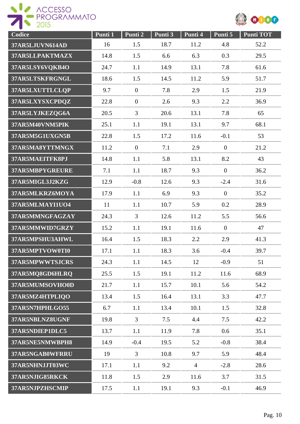



| Codice          | Punti 1 | Punti 2        | Punti 3 | Punti 4        | Punti 5          | <b>Punti TOT</b> |
|-----------------|---------|----------------|---------|----------------|------------------|------------------|
| 37AR5LJUVN614AD | 16      | 1.5            | 18.7    | 11.2           | 4.8              | 52.2             |
| 37AR5LLPAKTMAZX | 14.8    | 1.5            | 6.6     | 6.3            | 0.3              | 29.5             |
| 37AR5LSY6VQKB4O | 24.7    | 1.1            | 14.9    | 13.1           | 7.8              | 61.6             |
| 37AR5LTSKFRGNGL | 18.6    | 1.5            | 14.5    | 11.2           | 5.9              | 51.7             |
| 37AR5LXUTTLCLQP | 9.7     | $\overline{0}$ | 7.8     | 2.9            | 1.5              | 21.9             |
| 37AR5LXYSXCPDQZ | 22.8    | $\mathbf{0}$   | 2.6     | 9.3            | 2.2              | 36.9             |
| 37AR5LYJKEZQG6A | 20.5    | $\overline{3}$ | 20.6    | 13.1           | 7.8              | 65               |
| 37AR5M40VNM5PIK | 25.1    | 1.1            | 19.1    | 13.1           | 9.7              | 68.1             |
| 37AR5M5G1UXGN5B | 22.8    | 1.5            | 17.2    | 11.6           | $-0.1$           | 53               |
| 37AR5MA8YTTMNGX | 11.2    | $\overline{0}$ | 7.1     | 2.9            | $\overline{0}$   | 21.2             |
| 37AR5MAEITFK8PJ | 14.8    | 1.1            | 5.8     | 13.1           | 8.2              | 43               |
| 37AR5MBPYGREURE | 7.1     | 1.1            | 18.7    | 9.3            | $\overline{0}$   | 36.2             |
| 37AR5MIGL3J2KZG | 12.9    | $-0.8$         | 12.6    | 9.3            | $-2.4$           | 31.6             |
| 37AR5MLKRZ6MOYA | 17.9    | 1.1            | 6.9     | 9.3            | $\boldsymbol{0}$ | 35.2             |
| 37AR5MLMAYI1UO4 | 11      | 1.1            | 10.7    | 5.9            | 0.2              | 28.9             |
| 37AR5MMNGFAGZAY | 24.3    | 3              | 12.6    | 11.2           | 5.5              | 56.6             |
| 37AR5MMWID7GRZY | 15.2    | 1.1            | 19.1    | 11.6           | $\overline{0}$   | 47               |
| 37AR5MPSHU3AHWL | 16.4    | 1.5            | 18.3    | 2.2            | 2.9              | 41.3             |
| 37AR5MPTVOW0TI0 | 17.1    | 1.1            | 18.3    | 3.6            | $-0.4$           | 39.7             |
| 37AR5MPWWTSJCRS | 24.3    | 1.1            | 14.5    | 12             | $-0.9$           | 51               |
| 37AR5MQ8GD6HLRQ | 25.5    | 1.5            | 19.1    | 11.2           | 11.6             | 68.9             |
| 37AR5MUMSOVHO0D | 21.7    | 1.1            | 15.7    | 10.1           | 5.6              | 54.2             |
| 37AR5MZ4HTPLIQO | 13.4    | 1.5            | 16.4    | 13.1           | 3.3              | 47.7             |
| 37AR5N7HPHLGO55 | 6.7     | 1.1            | 13.4    | 10.1           | 1.5              | 32.8             |
| 37AR5NBLNZ8UGNF | 19.8    | $\mathfrak{Z}$ | 7.5     | 4.4            | 7.5              | 42.2             |
| 37AR5NDIEP1DLC5 | 13.7    | 1.1            | 11.9    | 7.8            | 0.6              | 35.1             |
| 37AR5NE5NMWBPH8 | 14.9    | $-0.4$         | 19.5    | 5.2            | $-0.8$           | 38.4             |
| 37AR5NGAB0WFRRU | 19      | 3              | 10.8    | 9.7            | 5.9              | 48.4             |
| 37AR5NHNJJT03WC | 17.1    | 1.1            | 9.2     | $\overline{4}$ | $-2.8$           | 28.6             |
| 37AR5NJIG85RKCK | 11.8    | 1.5            | 2.9     | 11.6           | 3.7              | 31.5             |
| 37AR5NJPZHSCMIP | 17.5    | 1.1            | 19.1    | 9.3            | $-0.1$           | 46.9             |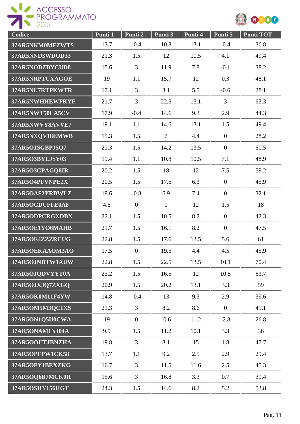



| Codice          | Punti 1 | Punti <sub>2</sub> | Punti 3        | Punti 4 | Punti 5          | <b>Punti TOT</b> |
|-----------------|---------|--------------------|----------------|---------|------------------|------------------|
| 37AR5NKM0MFZWTS | 13.7    | $-0.4$             | 10.8           | 13.1    | $-0.4$           | 36.8             |
| 37AR5NND3WDOD33 | 21.3    | 1.5                | 12             | 10.5    | 4.1              | 49.4             |
| 37AR5NOBZBYCUD8 | 15.6    | $\overline{3}$     | 11.9           | 7.8     | $-0.1$           | 38.2             |
| 37AR5NRPTUXAGOE | 19      | 1.1                | 15.7           | 12      | 0.3              | 48.1             |
| 37AR5NU7RTPKWTR | 17.1    | 3                  | 3.1            | 5.5     | $-0.6$           | 28.1             |
| 37AR5NWHHEWFKYF | 21.7    | $\overline{3}$     | 22.5           | 13.1    | $\overline{3}$   | 63.3             |
| 37AR5NWT50LA5CV | 17.9    | $-0.4$             | 14.6           | 9.3     | 2.9              | 44.3             |
| 37AR5NWVY8AVVE7 | 19.1    | 1.1                | 14.6           | 13.1    | 1.5              | 49.4             |
| 37AR5NXQV18EMWB | 15.3    | 1.5                | $\overline{7}$ | 4.4     | $\overline{0}$   | 28.2             |
| 37AR5O1SGBPJ5Q7 | 21.3    | 1.5                | 14.2           | 13.5    | $\overline{0}$   | 50.5             |
| 37AR5O3BYLJSY03 | 19.4    | 1.1                | 10.8           | 10.5    | 7.1              | 48.9             |
| 37AR5O3CPAGQ8IR | 20.2    | 1.5                | 18             | 12      | 7.5              | 59.2             |
| 37AR5O4PFVNPE2X | 20.5    | 1.5                | 17.6           | 6.3     | $\boldsymbol{0}$ | 45.9             |
| 37AR5OAS2YRBWLZ | 18.6    | $-0.8$             | 6.9            | 7.4     | $\boldsymbol{0}$ | 32.1             |
| 37AR5OCDUFFE0A8 | 4.5     | $\overline{0}$     | $\overline{0}$ | 12      | 1.5              | 18               |
| 37AR5ODPCRGXDBX | 22.1    | 1.5                | 10.5           | 8.2     | $\overline{0}$   | 42.3             |
| 37AR5OE1YO6MAHB | 21.7    | 1.5                | 16.1           | 8.2     | $\boldsymbol{0}$ | 47.5             |
| 37AR5OE4ZZZRCUG | 22.8    | 1.5                | 17.6           | 13.5    | 5.6              | 61               |
| 37AR5OEKAAOM3AO | 17.5    | $\boldsymbol{0}$   | 19.5           | 4.4     | 4.5              | 45.9             |
| 37AR5OJNDTW1AUW | 22.8    | 1.5                | 22.5           | 13.5    | 10.1             | 70.4             |
| 37AR5OJQDVYYT0A | 23.2    | 1.5                | 16.5           | 12      | 10.5             | 63.7             |
| 37AR5OJX3Q7ZXGQ | 20.9    | 1.5                | 20.2           | 13.1    | 3.3              | 59               |
| 37AR5OK0M11F4YW | 14.8    | $-0.4$             | 13             | 9.3     | 2.9              | 39.6             |
| 37AR5OM5M3QC1XS | 21.3    | $\mathfrak{Z}$     | 8.2            | 8.6     | $\overline{0}$   | 41.1             |
| 37AR5ON1Q5U0CWA | 19      | $\overline{0}$     | $-0.6$         | 11.2    | $-2.8$           | 26.8             |
| 37AR5ONAM1NJ04A | 9.9     | 1.5                | 11.2           | 10.1    | 3.3              | 36               |
| 37AR5OOUTJBNZHA | 19.8    | $\overline{3}$     | 8.1            | 15      | 1.8              | 47.7             |
| 37AR5OPFPW1CK58 | 13.7    | 1.1                | 9.2            | 2.5     | 2.9              | 29.4             |
| 37AR5OPY1BEXZKG | 16.7    | 3                  | 11.5           | 11.6    | 2.5              | 45.3             |
| 37AR5OQ6B7MCK0R | 15.6    | 3                  | 16.8           | 3.3     | 0.7              | 39.4             |
| 37AR5OSHY156HGT | 24.3    | 1.5                | 14.6           | 8.2     | 5.2              | 53.8             |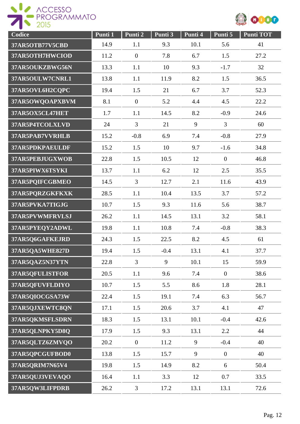



| Codice          | Punti 1 | Punti 2        | Punti 3 | Punti 4 | Punti 5          | <b>Punti TOT</b> |
|-----------------|---------|----------------|---------|---------|------------------|------------------|
| 37AR5OTB77V5CBD | 14.9    | 1.1            | 9.3     | 10.1    | 5.6              | 41               |
| 37AR5OTH7HWCIOD | 11.2    | $\overline{0}$ | 7.8     | 6.7     | 1.5              | 27.2             |
| 37AR5OUKZBWG56N | 13.3    | 1.1            | 10      | 9.3     | $-1.7$           | 32               |
| 37AR5OULW7CNRL1 | 13.8    | 1.1            | 11.9    | 8.2     | 1.5              | 36.5             |
| 37AR5OVL6H2CQPC | 19.4    | 1.5            | 21      | 6.7     | 3.7              | 52.3             |
| 37AR5OWQOAPXBVM | 8.1     | $\overline{0}$ | 5.2     | 4.4     | 4.5              | 22.2             |
| 37AR5OX5CL47HET | 1.7     | 1.1            | 14.5    | 8.2     | $-0.9$           | 24.6             |
| 37AR5P4TCOLXLVD | 24      | $\overline{3}$ | 21      | 9       | $\overline{3}$   | 60               |
| 37AR5PAB7VVRHLB | 15.2    | $-0.8$         | 6.9     | 7.4     | $-0.8$           | 27.9             |
| 37AR5PDKPAEULDF | 15.2    | 1.5            | 10      | 9.7     | $-1.6$           | 34.8             |
| 37AR5PEBJUGXWOB | 22.8    | 1.5            | 10.5    | 12      | $\overline{0}$   | 46.8             |
| 37AR5PIWX6TSYKI | 13.7    | 1.1            | 6.2     | 12      | 2.5              | 35.5             |
| 37AR5PQIFCGBMEO | 14.5    | $\overline{3}$ | 12.7    | 2.1     | 11.6             | 43.9             |
| 37AR5PQRZGKFKXK | 28.5    | 1.1            | 10.4    | 13.5    | 3.7              | 57.2             |
| 37AR5PVKA7TIGJG | 10.7    | 1.5            | 9.3     | 11.6    | 5.6              | 38.7             |
| 37AR5PVWMFRVLSJ | 26.2    | 1.1            | 14.5    | 13.1    | 3.2              | 58.1             |
| 37AR5PYEQY2ADWL | 19.8    | 1.1            | 10.8    | 7.4     | $-0.8$           | 38.3             |
| 37AR5Q6GAFKEJRD | 24.3    | 1.5            | 22.5    | 8.2     | 4.5              | 61               |
| 37AR5QA5WHE827D | 19.4    | 1.5            | $-0.4$  | 13.1    | 4.1              | 37.7             |
| 37AR5QAZ5N37YTN | 22.8    | $\overline{3}$ | 9       | 10.1    | 15               | 59.9             |
| 37AR5QFULISTFOR | 20.5    | 1.1            | 9.6     | 7.4     | $\overline{0}$   | 38.6             |
| 37AR5QFUVFLDIYO | 10.7    | 1.5            | 5.5     | 8.6     | 1.8              | 28.1             |
| 37AR5QIOCGSA73W | 22.4    | 1.5            | 19.1    | 7.4     | 6.3              | 56.7             |
| 37AR5QJXEWTC8QN | 17.1    | 1.5            | 20.6    | 3.7     | 4.1              | 47               |
| 37AR5QKMSFLSDRN | 18.3    | 1.5            | 13.1    | 10.1    | $-0.4$           | 42.6             |
| 37AR5QLNPKY5D8Q | 17.9    | 1.5            | 9.3     | 13.1    | 2.2              | 44               |
| 37AR5QLTZ6ZMVQO | 20.2    | $\overline{0}$ | 11.2    | 9       | $-0.4$           | 40               |
| 37AR5QPCGUFBOD0 | 13.8    | 1.5            | 15.7    | 9       | $\boldsymbol{0}$ | 40               |
| 37AR5QRIM7N65V4 | 19.8    | 1.5            | 14.9    | 8.2     | 6                | 50.4             |
| 37AR5QUJ3VEVAQO | 16.4    | 1.1            | 3.3     | 12      | 0.7              | 33.5             |
| 37AR5QW3LIFPDRB | 26.2    | 3              | 17.2    | 13.1    | 13.1             | 72.6             |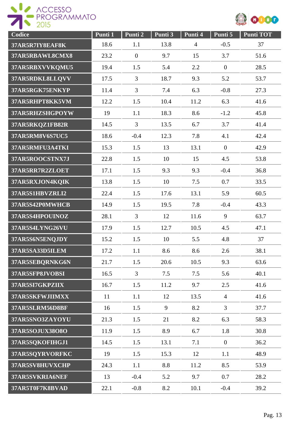ACCESSO



| Codice          | Punti 1 | Punti 2        | Punti 3 | Punti 4        | Punti 5          | <b>Punti TOT</b> |
|-----------------|---------|----------------|---------|----------------|------------------|------------------|
| 37AR5R7IY8EAF8K | 18.6    | 1.1            | 13.8    | $\overline{4}$ | $-0.5$           | 37               |
| 37AR5RBAWL8CMX8 | 23.2    | $\mathbf{0}$   | 9.7     | 15             | 3.7              | 51.6             |
| 37AR5RBXVVKQMU5 | 19.4    | 1.5            | 5.4     | 2.2            | $\boldsymbol{0}$ | 28.5             |
| 37AR5RDKL8LLQVV | 17.5    | $\overline{3}$ | 18.7    | 9.3            | 5.2              | 53.7             |
| 37AR5RGK75ENKYP | 11.4    | $\overline{3}$ | 7.4     | 6.3            | $-0.8$           | 27.3             |
| 37AR5RHPT8KK5VM | 12.2    | 1.5            | 10.4    | 11.2           | 6.3              | 41.6             |
| 37AR5RHZSHGPOYW | 19      | 1.1            | 18.3    | 8.6            | $-1.2$           | 45.8             |
| 37AR5RKQZ1FB82R | 14.5    | $\overline{3}$ | 13.5    | 6.7            | 3.7              | 41.4             |
| 37AR5RM8V6S7UC5 | 18.6    | $-0.4$         | 12.3    | 7.8            | 4.1              | 42.4             |
| 37AR5RMFU3A4TKI | 15.3    | 1.5            | 13      | 13.1           | $\mathbf{0}$     | 42.9             |
| 37AR5ROOCSTNX7J | 22.8    | 1.5            | 10      | 15             | 4.5              | 53.8             |
| 37AR5RR7R2ZLOET | 17.1    | 1.5            | 9.3     | 9.3            | $-0.4$           | 36.8             |
| 37AR5RXJON4KQIK | 13.8    | 1.5            | 10      | 7.5            | 0.7              | 33.5             |
| 37AR5S1HBVZRLI2 | 22.4    | 1.5            | 17.6    | 13.1           | 5.9              | 60.5             |
| 37AR5S42P0MWHCB | 14.9    | 1.5            | 19.5    | 7.8            | $-0.4$           | 43.3             |
| 37AR5S4HPOUINOZ | 28.1    | 3              | 12      | 11.6           | 9                | 63.7             |
| 37AR5S4LYNG26VU | 17.9    | 1.5            | 12.7    | 10.5           | 4.5              | 47.1             |
| 37AR5S6N5ENQJDY | 15.2    | 1.5            | 10      | 5.5            | 4.8              | 37               |
| 37AR5SA33D5ILEM | 17.2    | 1.1            | 8.6     | 8.6            | 2.6              | 38.1             |
| 37AR5SEBQRNKG6N | 21.7    | 1.5            | 20.6    | 10.5           | 9.3              | 63.6             |
| 37AR5SFP8JVOBSI | 16.5    | $\overline{3}$ | 7.5     | 7.5            | 5.6              | 40.1             |
| 37AR5SI7GKPZIIX | 16.7    | 1.5            | 11.2    | 9.7            | 2.5              | 41.6             |
| 37AR5SKFWJIIMXX | 11      | 1.1            | 12      | 13.5           | $\overline{4}$   | 41.6             |
| 37AR5SLRM56D8BF | 16      | 1.5            | 9       | 8.2            | $\overline{3}$   | 37.7             |
| 37AR5SNO3ZAYOYU | 21.3    | 1.5            | 21      | 8.2            | 6.3              | 58.3             |
| 37AR5SOJUX38O8O | 11.9    | 1.5            | 8.9     | 6.7            | 1.8              | 30.8             |
| 37AR5SQKOFIHGJ1 | 14.5    | 1.5            | 13.1    | 7.1            | $\mathbf{0}$     | 36.2             |
| 37AR5SQYRVORFKC | 19      | 1.5            | 15.3    | 12             | 1.1              | 48.9             |
| 37AR5SV8HUVXCHP | 24.3    | 1.1            | 8.8     | 11.2           | 8.5              | 53.9             |
| 37AR5SVKRIA6NEF | 13      | $-0.4$         | 5.2     | 9.7            | 0.7              | 28.2             |
| 37AR5T0F7K8BVAD | 22.1    | $-0.8$         | 8.2     | 10.1           | $-0.4$           | 39.2             |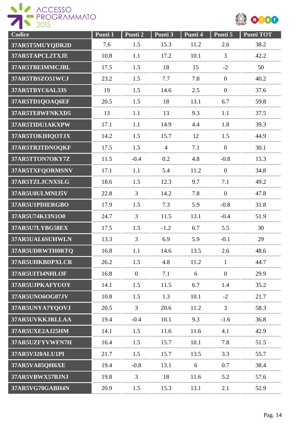



| Codice          | Punti 1 | Punti 2        | Punti <sub>3</sub> | Punti 4 | Punti 5          | <b>Punti TOT</b> |
|-----------------|---------|----------------|--------------------|---------|------------------|------------------|
| 37AR5T5MUYQDR2D | 7.6     | 1.5            | 15.3               | 11.2    | 2.6              | 38.2             |
| 37AR5TAPCL2TXJE | 10.8    | 1.1            | 17.2               | 10.1    | 3                | 42.2             |
| 37AR5TBEIMMCJBL | 17.5    | 1.5            | 18                 | 15      | $-2$             | 50               |
| 37AR5TBSZO51WCJ | 23.2    | 1.5            | 7.7                | 7.8     | $\overline{0}$   | 40.2             |
| 37AR5TBYC6AL33S | 19      | 1.5            | 14.6               | 2.5     | $\boldsymbol{0}$ | 37.6             |
| 37AR5TD1QOAQ6EF | 20.5    | 1.5            | 18                 | 13.1    | 6.7              | 59.8             |
| 37AR5TE8WFNKXD5 | 13      | 1.1            | 13                 | 9.3     | 1.1              | 37.5             |
| 37AR5TIDU1AKXPW | 17.1    | 1.1            | 14.9               | 4.4     | 1.8              | 39.3             |
| 37AR5TOKIHQOTJX | 14.2    | 1.5            | 15.7               | 12      | 1.5              | 44.9             |
| 37AR5TR3TDNOQKF | 17.5    | 1.5            | $\overline{4}$     | 7.1     | $\overline{0}$   | 30.1             |
| 37AR5TTON7OKY7Z | 11.5    | $-0.4$         | 0.2                | 4.8     | $-0.8$           | 15.3             |
| 37AR5TXFQORMSNV | 17.1    | 1.1            | 5.4                | 11.2    | $\overline{0}$   | 34.8             |
| 37AR5TZLJCNXSLG | 18.6    | 1.5            | 12.3               | 9.7     | 7.1              | 49.2             |
| 37AR5U0ULMNIJ5V | 22.8    | $\overline{3}$ | 14.2               | 7.8     | $\overline{0}$   | 47.8             |
| 37AR5U1PDIERGBO | 17.9    | 1.5            | 7.3                | 5.9     | $-0.8$           | 31.8             |
| 37AR5U74K13N1O0 | 24.7    | 3              | 11.5               | 13.1    | $-0.4$           | 51.9             |
| 37AR5U7LYBG58EX | 17.5    | 1.5            | $-1.2$             | 6.7     | 5.5              | 30               |
| 37AR5UAL6SUHWLN | 13.3    | $\overline{3}$ | 6.9                | 5.9     | $-0.1$           | 29               |
| 37AR5UDRWTH0RTQ | 16.8    | 1.1            | 14.6               | 13.5    | 2.6              | 48.6             |
| 37AR5UHKBDPXLCR | 26.2    | 1.5            | 4.8                | 11.2    | $\mathbf{1}$     | 44.7             |
| 37AR5UITI4NHLOF | 16.8    | $\overline{0}$ | 7.1                | 6       | $\overline{0}$   | 29.9             |
| 37AR5UJPKAFYUOY | 14.1    | 1.5            | 11.5               | 6.7     | 1.4              | 35.2             |
| 37AR5UNO6OG07JV | 10.8    | 1.5            | 1.3                | 10.1    | $-2$             | 21.7             |
| 37AR5UNYA7YQOVJ | 20.5    | $\overline{3}$ | 20.6               | 11.2    | $\overline{3}$   | 58.3             |
| 37AR5UVKKJRLLAA | 19.4    | $-0.4$         | 10.1               | 9.3     | $-1.6$           | 36.8             |
| 37AR5UXE2AJ25HM | 14.1    | 1.5            | 11.6               | 11.6    | 4.1              | 42.9             |
| 37AR5UZFYVWFN7H | 16.4    | 1.5            | 15.7               | 10.1    | 7.8              | 51.5             |
| 37AR5V320ALU1PI | 21.7    | 1.5            | 15.7               | 13.5    | 3.3              | 55.7             |
| 37AR5VA85Q0I6XE | 19.4    | $-0.8$         | 13.1               | 6       | 0.7              | 38.4             |
| 37AR5VBWX57BJNJ | 19.8    | $\overline{3}$ | 18                 | 11.6    | 5.2              | 57.6             |
| 37AR5VG70GABH4N | 20.9    | 1.5            | 15.3               | 13.1    | 2.1              | 52.9             |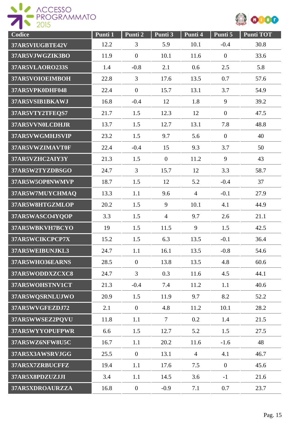



| Codice                 | Punti 1 | Punti 2          | Punti 3        | Punti 4        | Punti 5          | <b>Punti TOT</b> |
|------------------------|---------|------------------|----------------|----------------|------------------|------------------|
| 37AR5VIUGBTE42V        | 12.2    | 3                | 5.9            | 10.1           | $-0.4$           | 30.8             |
| 37AR5VJWGZIK3BO        | 11.9    | $\overline{0}$   | 10.1           | 11.6           | $\boldsymbol{0}$ | 33.6             |
| <b>37AR5VLAORO233S</b> | 1.4     | $-0.8$           | 2.1            | 0.6            | 2.5              | 5.8              |
| 37AR5VOIOEIMBOH        | 22.8    | 3                | 17.6           | 13.5           | 0.7              | 57.6             |
| 37AR5VPK0DHF048        | 22.4    | $\mathbf{0}$     | 15.7           | 13.1           | 3.7              | 54.9             |
| 37AR5VSIB1BKAWJ        | 16.8    | $-0.4$           | 12             | 1.8            | 9                | 39.2             |
| 37AR5VTY2TFEQS7        | 21.7    | 1.5              | 12.3           | 12             | $\overline{0}$   | 47.5             |
| 37AR5VVN0LCDHJR        | 13.7    | 1.5              | 12.7           | 13.1           | 7.8              | 48.8             |
| 37AR5VWGMHJSVIP        | 23.2    | 1.5              | 9.7            | 5.6            | $\boldsymbol{0}$ | 40               |
| 37AR5VWZIMAVT0F        | 22.4    | $-0.4$           | 15             | 9.3            | 3.7              | 50               |
| 37AR5VZHC2AIY3Y        | 21.3    | 1.5              | $\overline{0}$ | 11.2           | 9                | 43               |
| 37AR5W2TYZDBSGO        | 24.7    | $\overline{3}$   | 15.7           | 12             | 3.3              | 58.7             |
| 37AR5W5OP8NWMVP        | 18.7    | 1.5              | 12             | 5.2            | $-0.4$           | 37               |
| 37AR5W7MUYCHMAQ        | 13.3    | 1.1              | 9.6            | $\overline{4}$ | $-0.1$           | 27.9             |
| 37AR5W8HTGZMLOP        | 20.2    | 1.5              | 9              | 10.1           | 4.1              | 44.9             |
| 37AR5WASCO4YQOP        | 3.3     | 1.5              | $\overline{4}$ | 9.7            | 2.6              | 21.1             |
| 37AR5WBKVH7BCYO        | 19      | 1.5              | 11.5           | 9              | 1.5              | 42.5             |
| 37AR5WCIKCPCP7X        | 15.2    | 1.5              | 6.3            | 13.5           | $-0.1$           | 36.4             |
| 37AR5WEIBUNJKL3        | 24.7    | 1.1              | 16.1           | 13.5           | $-0.8$           | 54.6             |
| 37AR5WHO36EARNS        | 28.5    | $\mathbf{0}$     | 13.8           | 13.5           | 4.8              | 60.6             |
| 37AR5WODDXZCXC8        | 24.7    | $\mathfrak{Z}$   | 0.3            | 11.6           | 4.5              | 44.1             |
| 37AR5WOHSTNV1CT        | 21.3    | $-0.4$           | 7.4            | 11.2           | 1.1              | 40.6             |
| 37AR5WQSRNLUJWO        | 20.9    | 1.5              | 11.9           | 9.7            | 8.2              | 52.2             |
| 37AR5WVGFEZDJ72        | 2.1     | $\overline{0}$   | 4.8            | 11.2           | 10.1             | 28.2             |
| 37AR5WWSEZ2PQVU        | 11.8    | 1.1              | $\overline{7}$ | 0.2            | 1.4              | 21.5             |
| 37AR5WYYOPUFPWR        | 6.6     | 1.5              | 12.7           | 5.2            | 1.5              | 27.5             |
| 37AR5WZ6NFW8U5C        | 16.7    | 1.1              | 20.2           | 11.6           | $-1.6$           | 48               |
| 37AR5X3AWSRVJGG        | 25.5    | $\mathbf{0}$     | 13.1           | $\overline{4}$ | 4.1              | 46.7             |
| 37AR5X7ZRBUCFFZ        | 19.4    | 1.1              | 17.6           | 7.5            | $\overline{0}$   | 45.6             |
| 37AR5X8PDZUZJJI        | 3.4     | 1.1              | 14.5           | 3.6            | $-1$             | 21.6             |
| 37AR5XDROAURZZA        | 16.8    | $\boldsymbol{0}$ | $-0.9$         | 7.1            | 0.7              | 23.7             |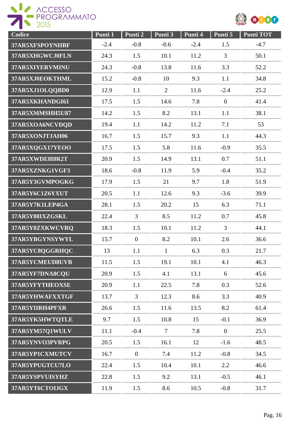



| Codice          | Punti 1 | Punti 2        | Punti 3        | Punti 4 | Punti 5        | <b>Punti TOT</b> |
|-----------------|---------|----------------|----------------|---------|----------------|------------------|
| 37AR5XFSPOYNHBF | $-2.4$  | $-0.8$         | $-0.6$         | $-2.4$  | 1.5            | $-4.7$           |
| 37AR5XHGWCJ0FLN | 24.3    | 1.5            | 10.1           | 11.2    | 3              | 50.1             |
| 37AR5XIYERVMINU | 24.3    | $-0.8$         | 13.8           | 11.6    | 3.3            | 52.2             |
| 37AR5XJ0EOKTHML | 15.2    | $-0.8$         | 10             | 9.3     | 1.1            | 34.8             |
| 37AR5XJ1OLOOBD0 | 12.9    | 1.1            | $\overline{2}$ | 11.6    | $-2.4$         | 25.2             |
| 37AR5XKHANDGI61 | 17.5    | 1.5            | 14.6           | 7.8     | $\overline{0}$ | 41.4             |
| 37AR5XMMSHH5U87 | 14.2    | 1.5            | 8.2            | 13.1    | 1.1            | 38.1             |
| 37AR5XOA6NCVDQD | 19.4    | 1.1            | 14.2           | 11.2    | 7.1            | 53               |
| 37AR5XONJTJAH06 | 16.7    | 1.5            | 15.7           | 9.3     | 1.1            | 44.3             |
| 37AR5XQGX17YEOO | 17.5    | 1.5            | 5.8            | 11.6    | $-0.9$         | 35.5             |
| 37AR5XWDE8I0R2T | 20.9    | 1.5            | 14.9           | 13.1    | 0.7            | 51.1             |
| 37AR5XZNKG1VGF3 | 18.6    | $-0.8$         | 11.9           | 5.9     | $-0.4$         | 35.2             |
| 37AR5Y3GVMPOGKG | 17.9    | 1.5            | 21             | 9.7     | 1.8            | 51.9             |
| 37AR5Y6C1Z6YXUT | 20.5    | 1.1            | 12.6           | 9.3     | $-3.6$         | 39.9             |
| 37AR5Y7K1LEP4GA | 28.1    | 1.5            | 20.2           | 15      | 6.3            | 71.1             |
| 37AR5Y88IXZGSKL | 22.4    | 3              | 8.5            | 11.2    | 0.7            | 45.8             |
| 37AR5Y8ZXKWCVRQ | 18.3    | 1.5            | 10.1           | 11.2    | 3              | 44.1             |
| 37AR5YBGYNSYWYL | 15.7    | $\overline{0}$ | 8.2            | 10.1    | 2.6            | 36.6             |
| 37AR5YC8QGGRHQC | 13      | 1.1            | 1              | 6.3     | 0.3            | 21.7             |
| 37AR5YCMEUD8UVB | 11.5    | 1.5            | 19.1           | 10.1    | 4.1            | 46.3             |
| 37AR5YF7DNA8CQU | 20.9    | 1.5            | 4.1            | 13.1    | 6              | 45.6             |
| 37AR5YFYTHEOXSE | 20.9    | 1.1            | 22.5           | 7.8     | 0.3            | 52.6             |
| 37AR5YHWAFXXTGF | 13.7    | $\mathfrak{Z}$ | 12.3           | 8.6     | 3.3            | 40.9             |
| 37AR5YIIRH4PFXR | 26.6    | 1.5            | 11.6           | 13.5    | 8.2            | 61.4             |
| 37AR5YK5HWTQTLE | 9.7     | 1.5            | 10.8           | 15      | $-0.1$         | 36.9             |
| 37AR5YM57Q1WULV | 11.1    | $-0.4$         | $\overline{7}$ | 7.8     | $\overline{0}$ | 25.5             |
| 37AR5YNVO3PVRPG | 20.5    | 1.5            | 16.1           | 12      | $-1.6$         | 48.5             |
| 37AR5YP1CXMUTCV | 16.7    | $\overline{0}$ | 7.4            | 11.2    | $-0.8$         | 34.5             |
| 37AR5YPUGTCU7LO | 22.4    | 1.5            | 10.4           | 10.1    | 2.2            | 46.6             |
| 37AR5YSPVUISYHZ | 22.8    | 1.5            | 9.2            | 13.1    | $-0.5$         | 46.1             |
| 37AR5YT6CTOLJGX | 11.9    | 1.5            | 8.6            | 10.5    | $-0.8$         | 31.7             |